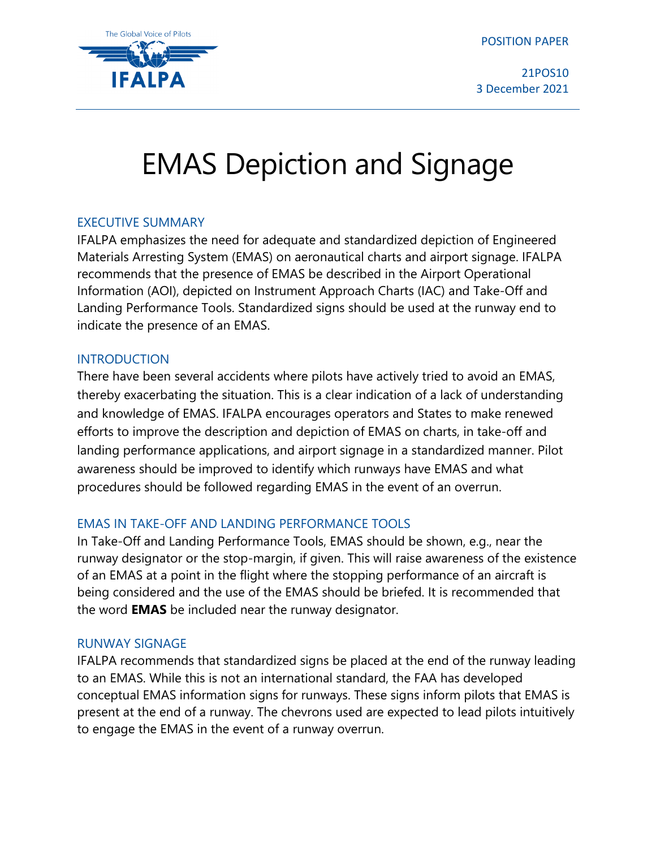POSITION PAPER



21POS10 3 December 2021

# EMAS Depiction and Signage

## EXECUTIVE SUMMARY

IFALPA emphasizes the need for adequate and standardized depiction of Engineered Materials Arresting System (EMAS) on aeronautical charts and airport signage. IFALPA recommends that the presence of EMAS be described in the Airport Operational Information (AOI), depicted on Instrument Approach Charts (IAC) and Take-Off and Landing Performance Tools. Standardized signs should be used at the runway end to indicate the presence of an EMAS.

## INTRODUCTION

There have been several accidents where pilots have actively tried to avoid an EMAS, thereby exacerbating the situation. This is a clear indication of a lack of understanding and knowledge of EMAS. IFALPA encourages operators and States to make renewed efforts to improve the description and depiction of EMAS on charts, in take-off and landing performance applications, and airport signage in a standardized manner. Pilot awareness should be improved to identify which runways have EMAS and what procedures should be followed regarding EMAS in the event of an overrun.

# EMAS IN TAKE-OFF AND LANDING PERFORMANCE TOOLS

In Take-Off and Landing Performance Tools, EMAS should be shown, e.g., near the runway designator or the stop-margin, if given. This will raise awareness of the existence of an EMAS at a point in the flight where the stopping performance of an aircraft is being considered and the use of the EMAS should be briefed. It is recommended that the word **EMAS** be included near the runway designator.

#### RUNWAY SIGNAGE

IFALPA recommends that standardized signs be placed at the end of the runway leading to an EMAS. While this is not an international standard, the FAA has developed conceptual EMAS information signs for runways. These signs inform pilots that EMAS is present at the end of a runway. The chevrons used are expected to lead pilots intuitively to engage the EMAS in the event of a runway overrun.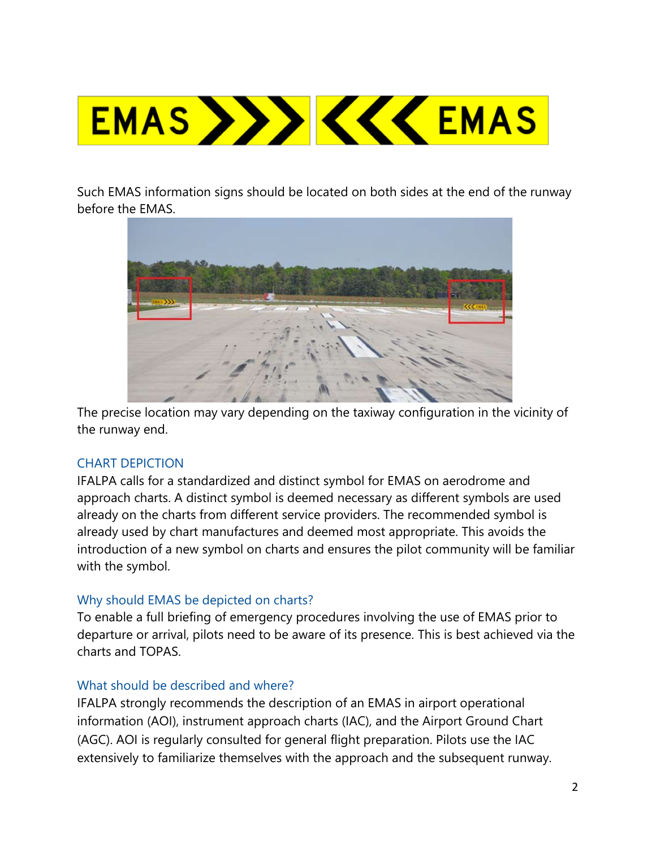

Such EMAS information signs should be located on both sides at the end of the runway before the EMAS.



The precise location may vary depending on the taxiway configuration in the vicinity of the runway end.

# CHART DEPICTION

IFALPA calls for a standardized and distinct symbol for EMAS on aerodrome and approach charts. A distinct symbol is deemed necessary as different symbols are used already on the charts from different service providers. The recommended symbol is already used by chart manufactures and deemed most appropriate. This avoids the introduction of a new symbol on charts and ensures the pilot community will be familiar with the symbol.

#### Why should EMAS be depicted on charts?

To enable a full briefing of emergency procedures involving the use of EMAS prior to departure or arrival, pilots need to be aware of its presence. This is best achieved via the charts and TOPAS.

#### What should be described and where?

IFALPA strongly recommends the description of an EMAS in airport operational information (AOI), instrument approach charts (IAC), and the Airport Ground Chart (AGC). AOI is regularly consulted for general flight preparation. Pilots use the IAC extensively to familiarize themselves with the approach and the subsequent runway.